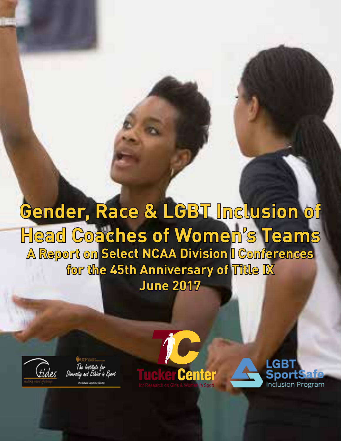## **Gender, Race & LGBT Inclusion of Head Coaches of Women's Teams A Report on Select NCAA Division I Conferences for the 45th Anniversary of Title IX June 2017**



The Institute for<br>Diversity and Ethics in Sport **Dr. Richard Lawhick, Director** 



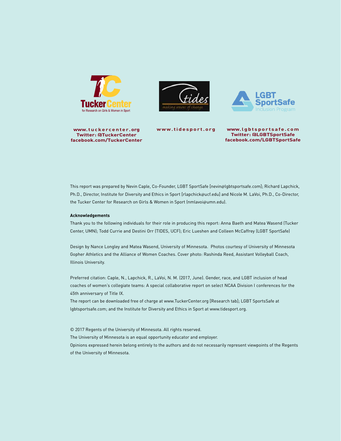

**www.tuckercenter. org Twitter: @TuckerCenter facebook.com/TuckerCenter**





**www.tidesport.org www.lgbtsportsafe.com Twitter: @LGBTSportSafe facebook.com/LGBTSportSafe**

This report was prepared by Nevin Caple, Co-Founder, LGBT SportSafe [nevin@lgbtsportsafe.com]; Richard Lapchick, Ph.D., Director, Institute for Diversity and Ethics in Sport [rlapchick@ucf.edu] and Nicole M. LaVoi, Ph.D., Co-Director, the Tucker Center for Research on Girls & Women in Sport (nmlavoi@umn.edu).

#### **Acknowledgements**

Thank you to the following individuals for their role in producing this report: Anna Baeth and Matea Wasend (Tucker Center, UMN); Todd Currie and Destini Orr (TIDES, UCF); Eric Lueshen and Colleen McCaffrey (LGBT SportSafe)

Design by Nance Longley and Matea Wasend, University of Minnesota. Photos courtesy of University of Minnesota Gopher Athletics and the Alliance of Women Coaches. Cover photo: Rashinda Reed, Assistant Volleyball Coach, Illinois University.

Preferred citation: Caple, N., Lapchick, R., LaVoi, N. M. (2017, June). Gender, race, and LGBT inclusion of head coaches of women's collegiate teams: A special collaborative report on select NCAA Division I conferences for the 45th anniversary of Title IX.

The report can be downloaded free of charge at www.TuckerCenter.org [Research tab]; LGBT SportsSafe at lgbtsportsafe.com; and the Institute for Diversity and Ethics in Sport at www.tidesport.org.

© 2017 Regents of the University of Minnesota. All rights reserved. The University of Minnesota is an equal opportunity educator and employer. Opinions expressed herein belong entirely to the authors and do not necessarily represent viewpoints of the Regents of the University of Minnesota.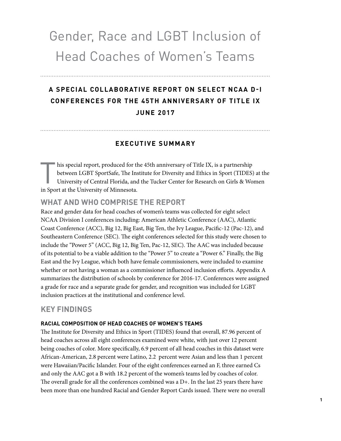## Gender, Race and LGBT Inclusion of Head Coaches of Women's Teams

## **A SPECIAL COLLABORATIVE REPORT ON SELECT NCAA D-I CONFERENCES FOR THE 45TH ANNIVERSARY OF TITLE IX JUNE 2017**

#### **EXECUTIVE SUMMARY**

his special report, produced for the 45th anniversary of Title IX, is a partnership<br>between LGBT SportSafe, The Institute for Diversity and Ethics in Sport (TIDES)<br>University of Central Florida, and the Tucker Center for R between LGBT SportSafe, The Institute for Diversity and Ethics in Sport (TIDES) at the University of Central Florida, and the Tucker Center for Research on Girls & Women in Sport at the University of Minnesota.

#### **WHAT AND WHO COMPRISE THE REPORT**

Race and gender data for head coaches of women's teams was collected for eight select NCAA Division I conferences including: American Athletic Conference (AAC), Atlantic Coast Conference (ACC), Big 12, Big East, Big Ten, the Ivy League, Pacific-12 (Pac-12), and Southeastern Conference (SEC). The eight conferences selected for this study were chosen to include the "Power 5" (ACC, Big 12, Big Ten, Pac-12, SEC). The AAC was included because of its potential to be a viable addition to the "Power 5" to create a "Power 6." Finally, the Big East and the Ivy League, which both have female commissioners, were included to examine whether or not having a woman as a commissioner influenced inclusion efforts. Appendix A summarizes the distribution of schools by conference for 2016-17. Conferences were assigned a grade for race and a separate grade for gender, and recognition was included for LGBT inclusion practices at the institutional and conference level.

#### **KEY FINDINGS**

#### **RACIAL COMPOSITION OF HEAD COACHES OF WOMEN'S TEAMS**

The Institute for Diversity and Ethics in Sport (TIDES) found that overall, 87.96 percent of head coaches across all eight conferences examined were white, with just over 12 percent being coaches of color. More specifically, 6.9 percent of all head coaches in this dataset were African-American, 2.8 percent were Latino, 2.2 percent were Asian and less than 1 percent were Hawaiian/Pacific Islander. Four of the eight conferences earned an F, three earned Cs and only the AAC got a B with 18.2 percent of the women's teams led by coaches of color. The overall grade for all the conferences combined was a D+. In the last 25 years there have been more than one hundred Racial and Gender Report Cards issued. There were no overall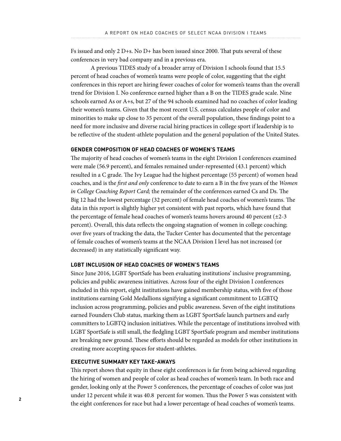Fs issued and only 2 D+s. No D+ has been issued since 2000. That puts several of these conferences in very bad company and in a previous era.

A previous TIDES study of a broader array of Division I schools found that 15.5 percent of head coaches of women's teams were people of color, suggesting that the eight conferences in this report are hiring fewer coaches of color for women's teams than the overall trend for Division I. No conference earned higher than a B on the TIDES grade scale. Nine schools earned As or A+s, but 27 of the 94 schools examined had no coaches of color leading their women's teams. Given that the most recent U.S. census calculates people of color and minorities to make up close to 35 percent of the overall population, these findings point to a need for more inclusive and diverse racial hiring practices in college sport if leadership is to be reflective of the student-athlete population and the general population of the United States.

#### **GENDER COMPOSITION OF HEAD COACHES OF WOMEN'S TEAMS**

The majority of head coaches of women's teams in the eight Division I conferences examined were male (56.9 percent), and females remained under-represented (43.1 percent) which resulted in a C grade. The Ivy League had the highest percentage (55 percent) of women head coaches, and is the *first and only* conference to date to earn a B in the five years of the *Women in College Coaching Report Card;* the remainder of the conferences earned Cs and Ds. The Big 12 had the lowest percentage (32 percent) of female head coaches of women's teams. The data in this report is slightly higher yet consistent with past reports, which have found that the percentage of female head coaches of women's teams hovers around 40 percent (±2-3 percent). Overall, this data reflects the ongoing stagnation of women in college coaching; over five years of tracking the data, the Tucker Center has documented that the percentage of female coaches of women's teams at the NCAA Division I level has not increased (or decreased) in any statistically significant way.

#### **LGBT INCLUSION OF HEAD COACHES OF WOMEN'S TEAMS**

Since June 2016, LGBT SportSafe has been evaluating institutions' inclusive programming, policies and public awareness initiatives. Across four of the eight Division I conferences included in this report, eight institutions have gained membership status, with five of those institutions earning Gold Medallions signifying a significant commitment to LGBTQ inclusion across programming, policies and public awareness. Seven of the eight institutions earned Founders Club status, marking them as LGBT SportSafe launch partners and early committers to LGBTQ inclusion initiatives. While the percentage of institutions involved with LGBT SportSafe is still small, the fledgling LGBT SportSafe program and member institutions are breaking new ground. These efforts should be regarded as models for other institutions in creating more accepting spaces for student-athletes.

#### **EXECUTIVE SUMMARY KEY TAKE-AWAYS**

This report shows that equity in these eight conferences is far from being achieved regarding the hiring of women and people of color as head coaches of women's team. In both race and gender, looking only at the Power 5 conferences, the percentage of coaches of color was just under 12 percent while it was 40.8 percent for women. Thus the Power 5 was consistent with the eight conferences for race but had a lower percentage of head coaches of women's teams.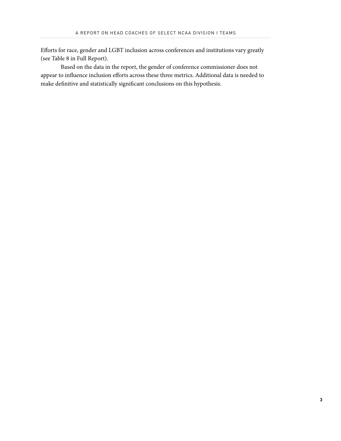Efforts for race, gender and LGBT inclusion across conferences and institutions vary greatly (see Table 8 in Full Report).

Based on the data in the report, the gender of conference commissioner does not appear to influence inclusion efforts across these three metrics. Additional data is needed to make definitive and statistically significant conclusions on this hypothesis.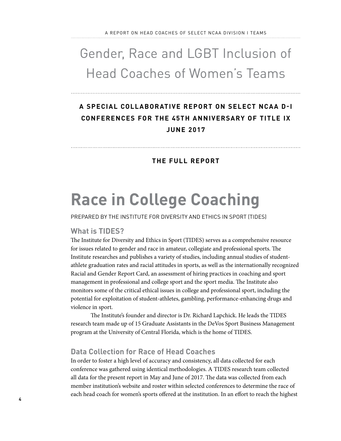## Gender, Race and LGBT Inclusion of Head Coaches of Women's Teams

### **A SPECIAL COLLABORATIVE REPORT ON SELECT NCAA D-I CONFERENCES FOR THE 45TH ANNIVERSARY OF TITLE IX JUNE 2017**

#### **THE FULL REPORT**

## **Race in College Coaching**

PREPARED BY THE INSTITUTE FOR DIVERSITY AND ETHICS IN SPORT (TIDES)

#### **What is TIDES?**

The Institute for Diversity and Ethics in Sport (TIDES) serves as a comprehensive resource for issues related to gender and race in amateur, collegiate and professional sports. The Institute researches and publishes a variety of studies, including annual studies of studentathlete graduation rates and racial attitudes in sports, as well as the internationally recognized Racial and Gender Report Card, an assessment of hiring practices in coaching and sport management in professional and college sport and the sport media. The Institute also monitors some of the critical ethical issues in college and professional sport, including the potential for exploitation of student-athletes, gambling, performance-enhancing drugs and violence in sport.

The Institute's founder and director is Dr. Richard Lapchick. He leads the TIDES research team made up of 15 Graduate Assistants in the DeVos Sport Business Management program at the University of Central Florida, which is the home of TIDES.

#### **Data Collection for Race of Head Coaches**

In order to foster a high level of accuracy and consistency, all data collected for each conference was gathered using identical methodologies. A TIDES research team collected all data for the present report in May and June of 2017. The data was collected from each member institution's website and roster within selected conferences to determine the race of each head coach for women's sports offered at the institution. In an effort to reach the highest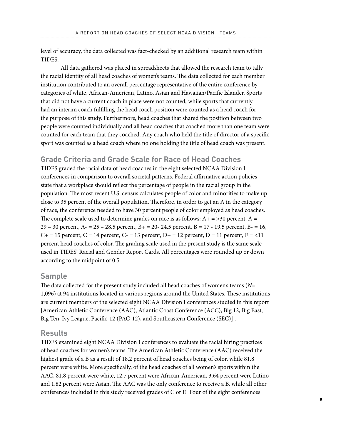level of accuracy, the data collected was fact-checked by an additional research team within TIDES.

All data gathered was placed in spreadsheets that allowed the research team to tally the racial identity of all head coaches of women's teams. The data collected for each member institution contributed to an overall percentage representative of the entire conference by categories of white, African-American, Latino, Asian and Hawaiian/Pacific Islander. Sports that did not have a current coach in place were not counted, while sports that currently had an interim coach fulfilling the head coach position were counted as a head coach for the purpose of this study. Furthermore, head coaches that shared the position between two people were counted individually and all head coaches that coached more than one team were counted for each team that they coached. Any coach who held the title of director of a specific sport was counted as a head coach where no one holding the title of head coach was present.

#### **Grade Criteria and Grade Scale for Race of Head Coaches**

TIDES graded the racial data of head coaches in the eight selected NCAA Division I conferences in comparison to overall societal patterns. Federal affirmative action policies state that a workplace should reflect the percentage of people in the racial group in the population. The most recent U.S. census calculates people of color and minorities to make up close to 35 percent of the overall population. Therefore, in order to get an A in the category of race, the conference needed to have 30 percent people of color employed as head coaches. The complete scale used to determine grades on race is as follows:  $A + \frac{1}{2}$  percent,  $A =$ 29 – 30 percent, A $- 25 - 28.5$  percent, B $+ 20 - 24.5$  percent, B $- 17 - 19.5$  percent, B $- 16$ ,  $C+=15$  percent,  $C=14$  percent,  $C=13$  percent,  $D=12$  percent,  $D=11$  percent,  $F=<11$ percent head coaches of color. The grading scale used in the present study is the same scale used in TIDES' Racial and Gender Report Cards. All percentages were rounded up or down according to the midpoint of 0.5.

#### **Sample**

The data collected for the present study included all head coaches of women's teams (*N*= 1,096) at 94 institutions located in various regions around the United States. These institutions are current members of the selected eight NCAA Division I conferences studied in this report [American Athletic Conference (AAC), Atlantic Coast Conference (ACC), Big 12, Big East, Big Ten, Ivy League, Pacific-12 (PAC-12), and Southeastern Conference (SEC)] .

#### **Results**

TIDES examined eight NCAA Division I conferences to evaluate the racial hiring practices of head coaches for women's teams. The American Athletic Conference (AAC) received the highest grade of a B as a result of 18.2 percent of head coaches being of color, while 81.8 percent were white. More specifically, of the head coaches of all women's sports within the AAC, 81.8 percent were white, 12.7 percent were African-American, 3.64 percent were Latino and 1.82 percent were Asian. The AAC was the only conference to receive a B, while all other conferences included in this study received grades of C or F. Four of the eight conferences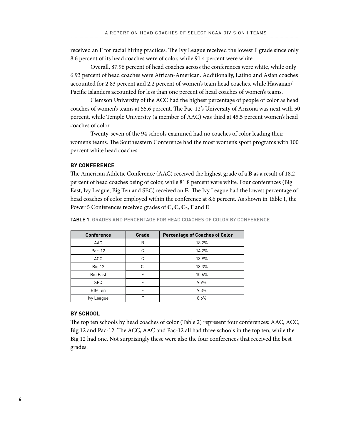received an F for racial hiring practices. The Ivy League received the lowest F grade since only 8.6 percent of its head coaches were of color, while 91.4 percent were white.

Overall, 87.96 percent of head coaches across the conferences were white, while only 6.93 percent of head coaches were African-American. Additionally, Latino and Asian coaches accounted for 2.83 percent and 2.2 percent of women's team head coaches, while Hawaiian/ Pacific Islanders accounted for less than one percent of head coaches of women's teams.

Clemson University of the ACC had the highest percentage of people of color as head coaches of women's teams at 55.6 percent. The Pac-12's University of Arizona was next with 50 percent, while Temple University (a member of AAC) was third at 45.5 percent women's head coaches of color.

Twenty-seven of the 94 schools examined had no coaches of color leading their women's teams. The Southeastern Conference had the most women's sport programs with 100 percent white head coaches.

#### **BY CONFERENCE**

The American Athletic Conference (AAC) received the highest grade of a **B** as a result of 18.2 percent of head coaches being of color, while 81.8 percent were white. Four conferences (Big East, Ivy League, Big Ten and SEC) received an **F.** The Ivy League had the lowest percentage of head coaches of color employed within the conference at 8.6 percent. As shown in Table 1, the Power 5 Conferences received grades of **C, C, C-, F** and **F.**

**Conference | Grade | Percentage of Coaches of Color** AAC B 18.2% Pac-12 C 14.2% ACC C 13.9% Big 12 C- 13.3% Big East  $F = \begin{bmatrix} 10.6\% & 10.6\% \end{bmatrix}$ SEC F 9.9% BIG Ten Reserve Ten Reserve Ten Reserve Ten Reserve Ten Reserve Ten Reserve Ten Reserve Ten Reserve Ten Reserve Ivy League F F 8.6%

TABLE 1. GRADES AND PERCENTAGE FOR HEAD COACHES OF COLOR BY CONFERENCE

#### **BY SCHOOL**

The top ten schools by head coaches of color (Table 2) represent four conferences: AAC, ACC, Big 12 and Pac-12. The ACC, AAC and Pac-12 all had three schools in the top ten, while the Big 12 had one. Not surprisingly these were also the four conferences that received the best grades.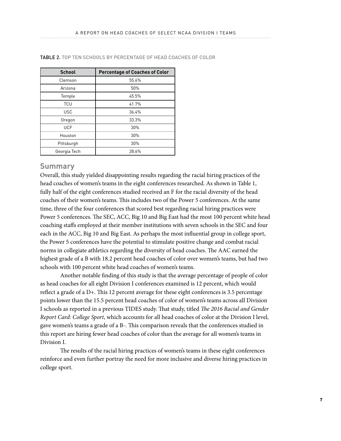| <b>School</b> | <b>Percentage of Coaches of Color</b> |
|---------------|---------------------------------------|
| Clemson       | 55.6%                                 |
| Arizona       | 50%                                   |
| Temple        | 45.5%                                 |
| <b>TCU</b>    | 41.7%                                 |
| <b>USC</b>    | 36.4%                                 |
| Oregon        | 33.3%                                 |
| <b>UCF</b>    | 30%                                   |
| Houston       | 30%                                   |
| Pittsburgh    | 30%                                   |
| Georgia Tech  | 28.6%                                 |

#### TABLE 2. TOP TEN SCHOOLS BY PERCENTAGE OF HEAD COACHES OF COLOR

#### **Summary**

Overall, this study yielded disappointing results regarding the racial hiring practices of the head coaches of women's teams in the eight conferences researched. As shown in Table 1, fully half of the eight conferences studied received an F for the racial diversity of the head coaches of their women's teams. This includes two of the Power 5 conferences. At the same time, three of the four conferences that scored best regarding racial hiring practices were Power 5 conferences. The SEC, ACC, Big 10 and Big East had the most 100 percent white head coaching staffs employed at their member institutions with seven schools in the SEC and four each in the ACC, Big 10 and Big East. As perhaps the most influential group in college sport, the Power 5 conferences have the potential to stimulate positive change and combat racial norms in collegiate athletics regarding the diversity of head coaches. The AAC earned the highest grade of a B with 18.2 percent head coaches of color over women's teams, but had two schools with 100 percent white head coaches of women's teams.

Another notable finding of this study is that the average percentage of people of color as head coaches for all eight Division I conferences examined is 12 percent, which would reflect a grade of a D+. This 12 percent average for these eight conferences is 3.5 percentage points lower than the 15.5 percent head coaches of color of women's teams across all Division I schools as reported in a previous TIDES study. That study, titled *The 2016 Racial and Gender Report Card: College Sport*, which accounts for all head coaches of color at the Division I level, gave women's teams a grade of a B-. This comparison reveals that the conferences studied in this report are hiring fewer head coaches of color than the average for all women's teams in Division I.

The results of the racial hiring practices of women's teams in these eight conferences reinforce and even further portray the need for more inclusive and diverse hiring practices in college sport.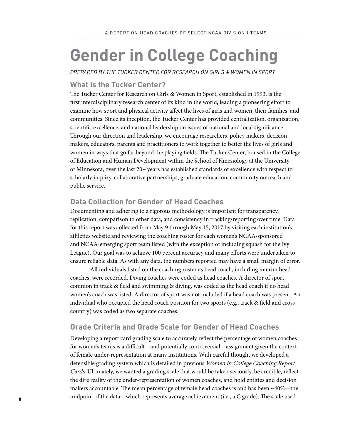## **Gender in College Coaching**

*PREPARED BY THE TUCKER CENTER FOR RESEARCH ON GIRLS & WOMEN IN SPORT*

#### **What is the Tucker Center?**

The Tucker Center for Research on Girls & Women in Sport, established in 1993, is the first interdisciplinary research center of its kind in the world, leading a pioneering effort to examine how sport and physical activity affect the lives of girls and women, their families, and communities. Since its inception, the Tucker Center has provided centralization, organization, scientific excellence, and national leadership on issues of national and local significance. Through our direction and leadership, we encourage researchers, policy makers, decision makers, educators, parents and practitioners to work together to better the lives of girls and women in ways that go far beyond the playing fields. The Tucker Center, housed in the College of Education and Human Development within the School of Kinesiology at the University of Minnesota, over the last 20+ years has established standards of excellence with respect to scholarly inquiry, collaborative partnerships, graduate education, community outreach and public service.

#### **Data Collection for Gender of Head Coaches**

Documenting and adhering to a rigorous methodology is important for transparency, replication, comparison to other data, and consistency in tracking/reporting over time. Data for this report was collected from May 9 through May 15, 2017 by visiting each institution's athletics website and reviewing the coaching roster for each women's NCAA-sponsored and NCAA-emerging sport team listed (with the exception of including squash for the Ivy League). Our goal was to achieve 100 percent accuracy and many efforts were undertaken to ensure reliable data. As with any data, the numbers reported may have a small margin of error.

All individuals listed on the coaching roster as head coach, including interim head coaches, were recorded. Diving coaches were coded as head coaches. A director of sport, common in track & field and swimming & diving, was coded as the head coach if no head women's coach was listed. A director of sport was not included if a head coach was present. An individual who occupied the head coach position for two sports (e.g., track & field and cross country) was coded as two separate coaches.

#### **Grade Criteria and Grade Scale for Gender of Head Coaches**

Developing a report card grading scale to accurately reflect the percentage of women coaches for women's teams is a difficult—and potentially controversial—assignment given the context of female under-representation at many institutions. With careful thought we developed a defensible grading system which is detailed in previous Women in College Coaching Report Cards. Ultimately, we wanted a grading scale that would be taken seriously, be credible, reflect the dire reality of the under-representation of women coaches, and hold entities and decision makers accountable. The mean percentage of female head coaches is and has been ~40%—the midpoint of the data—which represents average achievement (i.e., a C grade). The scale used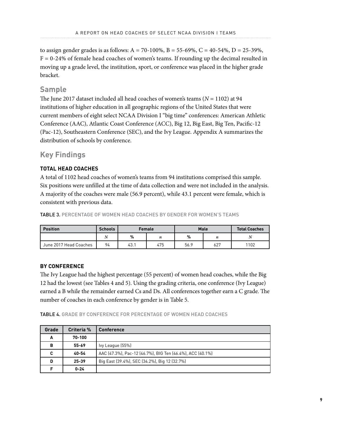to assign gender grades is as follows:  $A = 70-100\%$ ,  $B = 55-69\%$ ,  $C = 40-54\%$ ,  $D = 25-39\%$ ,  $F = 0-24%$  of female head coaches of women's teams. If rounding up the decimal resulted in moving up a grade level, the institution, sport, or conference was placed in the higher grade bracket.

#### **Sample**

The June 2017 dataset included all head coaches of women's teams (*N* = 1102) at 94 institutions of higher education in all geographic regions of the United States that were current members of eight select NCAA Division I "big time" conferences: American Athletic Conference (AAC), Atlantic Coast Conference (ACC), Big 12, Big East, Big Ten, Pacific-12 (Pac-12), Southeastern Conference (SEC), and the Ivy League. Appendix A summarizes the distribution of schools by conference.

#### **Key Findings**

#### **TOTAL HEAD COACHES**

A total of 1102 head coaches of women's teams from 94 institutions comprised this sample. Six positions were unfilled at the time of data collection and were not included in the analysis. A majority of the coaches were male (56.9 percent), while 43.1 percent were female, which is consistent with previous data.

TABLE 3. PERCENTAGE OF WOMEN HEAD COACHES BY GENDER FOR WOMEN'S TEAMS

| <b>Position</b>        | <b>Schools</b> |      | <b>Female</b> |      | Male | <b>Total Coaches</b> |
|------------------------|----------------|------|---------------|------|------|----------------------|
|                        |                | %    |               | %    | n    |                      |
| June 2017 Head Coaches | 94             | 43.1 | 475           | 56.9 | 627  | 1102                 |

#### **BY CONFERENCE**

The Ivy League had the highest percentage (55 percent) of women head coaches, while the Big 12 had the lowest (see Tables 4 and 5). Using the grading criteria, one conference (Ivy League) earned a B while the remainder earned Cs and Ds. All conferences together earn a C grade. The number of coaches in each conference by gender is in Table 5.

TABLE 4. GRADE BY CONFERENCE FOR PERCENTAGE OF WOMEN HEAD COACHES

| Grade | <b>Criteria %</b> | <b>Conference</b>                                         |
|-------|-------------------|-----------------------------------------------------------|
| A     | 70-100            |                                                           |
| в     | $55 - 69$         | lvy League (55%)                                          |
| C     | 40-54             | AAC (47.3%), Pac-12 (46.7%), BIG Ten (46.4%), ACC (40.1%) |
| D     | $25 - 39$         | Big East (39.4%), SEC (34.2%), Big 12 (32.7%)             |
|       | $0 - 24$          |                                                           |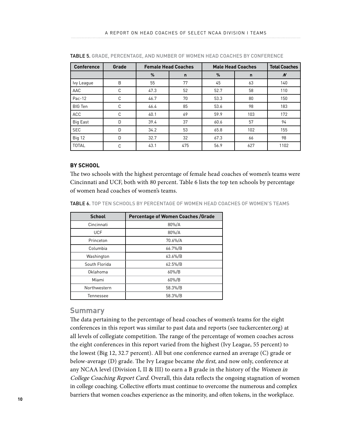| <b>Conference</b> | Grade |      | <b>Female Head Coaches</b> |      | <b>Male Head Coaches</b> | <b>Total Coaches</b> |
|-------------------|-------|------|----------------------------|------|--------------------------|----------------------|
|                   |       | %    | $\mathbf n$                | %    | $\mathsf{n}$             | $\boldsymbol{N}$     |
| Ivy League        | B     | 55   | 77                         | 45   | 63                       | 140                  |
| AAC               | C     | 47.3 | 52                         | 52.7 | 58                       | 110                  |
| $Pac-12$          | C     | 46.7 | 70                         | 53.3 | 80                       | 150                  |
| <b>BIG Ten</b>    | C     | 46.4 | 85                         | 53.6 | 98                       | 183                  |
| <b>ACC</b>        | C     | 40.1 | 69                         | 59.9 | 103                      | 172                  |
| Big East          | D     | 39.4 | 37                         | 60.6 | 57                       | 94                   |
| <b>SEC</b>        | D     | 34.2 | 53                         | 65.8 | 102                      | 155                  |
| <b>Big 12</b>     | D     | 32.7 | 32                         | 67.3 | 66                       | 98                   |
| <b>TOTAL</b>      | C     | 43.1 | 475                        | 56.9 | 627                      | 1102                 |

TABLE 5. GRADE, PERCENTAGE, AND NUMBER OF WOMEN HEAD COACHES BY CONFERENCE

#### **BY SCHOOL**

The two schools with the highest percentage of female head coaches of women's teams were Cincinnati and UCF, both with 80 percent. Table 6 lists the top ten schools by percentage of women head coaches of women's teams.

TABLE 6. TOP TEN SCHOOLS BY PERCENTAGE OF WOMEN HEAD COACHES OF WOMEN'S TEAMS

| <b>School</b> | <b>Percentage of Women Coaches /Grade</b> |
|---------------|-------------------------------------------|
| Cincinnati    | 80%/A                                     |
| <b>UCF</b>    | 80%/A                                     |
| Princeton     | 70.6%/A                                   |
| Columbia      | 66.7%/B                                   |
| Washington    | 63.6%/B                                   |
| South Florida | $62.5\%/B$                                |
| Oklahoma      | 60%/B                                     |
| Miami         | 60%/B                                     |
| Northwestern  | 58.3%/B                                   |
| Tennessee     | 58.3%/B                                   |

#### **Summary**

The data pertaining to the percentage of head coaches of women's teams for the eight conferences in this report was similar to past data and reports (see tuckercenter.org) at all levels of collegiate competition. The range of the percentage of women coaches across the eight conferences in this report varied from the highest (Ivy League, 55 percent) to the lowest (Big 12, 32.7 percent). All but one conference earned an average (C) grade or below-average (D) grade. The Ivy League became the first, and now only, conference at any NCAA level (Division I, II & III) to earn a B grade in the history of the Women in College Coaching Report Card. Overall, this data reflects the ongoing stagnation of women in college coaching. Collective efforts must continue to overcome the numerous and complex barriers that women coaches experience as the minority, and often tokens, in the workplace.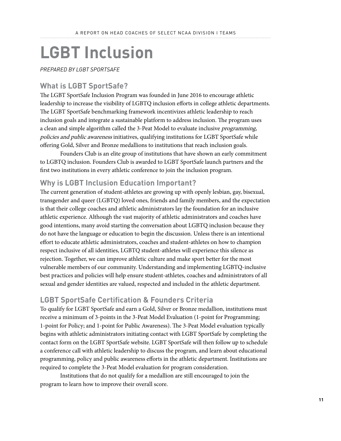# **LGBT Inclusion**

*PREPARED BY LGBT SPORTSAFE*

#### **What is LGBT SportSafe?**

The LGBT SportSafe Inclusion Program was founded in June 2016 to encourage athletic leadership to increase the visibility of LGBTQ inclusion efforts in college athletic departments. The LGBT SportSafe benchmarking framework incentivizes athletic leadership to reach inclusion goals and integrate a sustainable platform to address inclusion. The program uses a clean and simple algorithm called the 3-Peat Model to evaluate inclusive programming, policies and public awareness initiatives, qualifying institutions for LGBT SportSafe while offering Gold, Silver and Bronze medallions to institutions that reach inclusion goals.

Founders Club is an elite group of institutions that have shown an early commitment to LGBTQ inclusion. Founders Club is awarded to LGBT SportSafe launch partners and the first two institutions in every athletic conference to join the inclusion program.

#### **Why is LGBT Inclusion Education Important?**

The current generation of student-athletes are growing up with openly lesbian, gay, bisexual, transgender and queer (LGBTQ) loved ones, friends and family members, and the expectation is that their college coaches and athletic administrators lay the foundation for an inclusive athletic experience. Although the vast majority of athletic administrators and coaches have good intentions, many avoid starting the conversation about LGBTQ inclusion because they do not have the language or education to begin the discussion. Unless there is an intentional effort to educate athletic administrators, coaches and student-athletes on how to champion respect inclusive of all identities, LGBTQ student-athletes will experience this silence as rejection. Together, we can improve athletic culture and make sport better for the most vulnerable members of our community. Understanding and implementing LGBTQ-inclusive best practices and policies will help ensure student-athletes, coaches and administrators of all sexual and gender identities are valued, respected and included in the athletic department.

#### **LGBT SportSafe Certification & Founders Criteria**

To qualify for LGBT SportSafe and earn a Gold, Silver or Bronze medallion, institutions must receive a minimum of 3-points in the 3-Peat Model Evaluation (1-point for Programming; 1-point for Policy; and 1-point for Public Awareness). The 3-Peat Model evaluation typically begins with athletic administrators initiating contact with LGBT SportSafe by completing the contact form on the LGBT SportSafe website. LGBT SportSafe will then follow up to schedule a conference call with athletic leadership to discuss the program, and learn about educational programming, policy and public awareness efforts in the athletic department. Institutions are required to complete the 3-Peat Model evaluation for program consideration.

Institutions that do not qualify for a medallion are still encouraged to join the program to learn how to improve their overall score.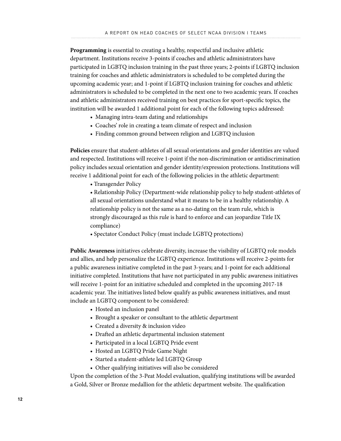**Programming** is essential to creating a healthy, respectful and inclusive athletic department. Institutions receive 3-points if coaches and athletic administrators have participated in LGBTQ inclusion training in the past three years; 2-points if LGBTQ inclusion training for coaches and athletic administrators is scheduled to be completed during the upcoming academic year; and 1-point if LGBTQ inclusion training for coaches and athletic administrators is scheduled to be completed in the next one to two academic years. If coaches and athletic administrators received training on best practices for sport-specific topics, the institution will be awarded 1 additional point for each of the following topics addressed:

- Managing intra-team dating and relationships
- Coaches' role in creating a team climate of respect and inclusion
- Finding common ground between religion and LGBTQ inclusion

**Policies** ensure that student-athletes of all sexual orientations and gender identities are valued and respected. Institutions will receive 1-point if the non-discrimination or antidiscrimination policy includes sexual orientation and gender identity/expression protections. Institutions will receive 1 additional point for each of the following policies in the athletic department:

• Transgender Policy

• Relationship Policy (Department-wide relationship policy to help student-athletes of all sexual orientations understand what it means to be in a healthy relationship. A relationship policy is not the same as a no-dating on the team rule, which is strongly discouraged as this rule is hard to enforce and can jeopardize Title IX compliance)

• Spectator Conduct Policy (must include LGBTQ protections)

**Public Awareness** initiatives celebrate diversity, increase the visibility of LGBTQ role models and allies, and help personalize the LGBTQ experience. Institutions will receive 2-points for a public awareness initiative completed in the past 3-years; and 1-point for each additional initiative completed. Institutions that have not participated in any public awareness initiatives will receive 1-point for an initiative scheduled and completed in the upcoming 2017-18 academic year. The initiatives listed below qualify as public awareness initiatives, and must include an LGBTQ component to be considered:

- Hosted an inclusion panel
- Brought a speaker or consultant to the athletic department
- Created a diversity & inclusion video
- Drafted an athletic departmental inclusion statement
- Participated in a local LGBTQ Pride event
- Hosted an LGBTQ Pride Game Night
- Started a student-athlete led LGBTQ Group
- Other qualifying initiatives will also be considered

Upon the completion of the 3-Peat Model evaluation, qualifying institutions will be awarded a Gold, Silver or Bronze medallion for the athletic department website. The qualification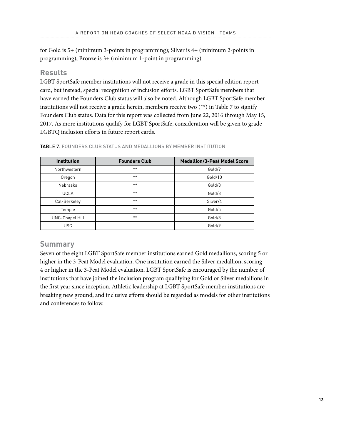for Gold is 5+ (minimum 3-points in programming); Silver is 4+ (minimum 2-points in programming); Bronze is 3+ (minimum 1-point in programming).

#### **Results**

LGBT SportSafe member institutions will not receive a grade in this special edition report card, but instead, special recognition of inclusion efforts. LGBT SportSafe members that have earned the Founders Club status will also be noted. Although LGBT SportSafe member institutions will not receive a grade herein, members receive two (\*\*) in Table 7 to signify Founders Club status. Data for this report was collected from June 22, 2016 through May 15, 2017. As more institutions qualify for LGBT SportSafe, consideration will be given to grade LGBTQ inclusion efforts in future report cards.

| <b>Institution</b>     | <b>Founders Club</b> | <b>Medallion/3-Peat Model Score</b> |
|------------------------|----------------------|-------------------------------------|
| Northwestern           | $***$                | Gold/9                              |
| Oregon                 | $***$                | Gold/10                             |
| Nebraska               | $***$                | Gold/8                              |
| <b>UCLA</b>            | $***$                | Gold/8                              |
| Cal-Berkeley           | $***$                | Silver/4                            |
| Temple                 | $***$                | Gold/5                              |
| <b>UNC-Chapel Hill</b> | $***$                | Gold/8                              |
| <b>USC</b>             |                      | Gold/9                              |

TABLE 7. FOUNDERS CLUB STATUS AND MEDALLIONS BY MEMBER INSTITUTION

#### **Summary**

Seven of the eight LGBT SportSafe member institutions earned Gold medallions, scoring 5 or higher in the 3-Peat Model evaluation. One institution earned the Silver medallion, scoring 4 or higher in the 3-Peat Model evaluation. LGBT SportSafe is encouraged by the number of institutions that have joined the inclusion program qualifying for Gold or Silver medallions in the first year since inception. Athletic leadership at LGBT SportSafe member institutions are breaking new ground, and inclusive efforts should be regarded as models for other institutions and conferences to follow.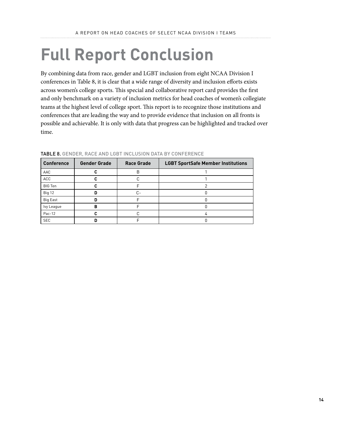## **Full Report Conclusion**

By combining data from race, gender and LGBT inclusion from eight NCAA Division I conferences in Table 8, it is clear that a wide range of diversity and inclusion efforts exists across women's college sports. This special and collaborative report card provides the first and only benchmark on a variety of inclusion metrics for head coaches of women's collegiate teams at the highest level of college sport. This report is to recognize those institutions and conferences that are leading the way and to provide evidence that inclusion on all fronts is possible and achievable. It is only with data that progress can be highlighted and tracked over time.

| <b>Conference</b> | <b>Gender Grade</b> | <b>Race Grade</b> | <b>LGBT SportSafe Member Institutions</b> |
|-------------------|---------------------|-------------------|-------------------------------------------|
| AAC               |                     | В                 |                                           |
| ACC               |                     |                   |                                           |
| <b>BIG Ten</b>    |                     |                   |                                           |
| Big 12            | n                   | C-                |                                           |
| <b>Big East</b>   |                     |                   |                                           |
| lvy League        | R                   |                   |                                           |
| Pac-12            |                     |                   |                                           |
| <b>SEC</b>        |                     |                   |                                           |

TABLE 8. GENDER, RACE AND LGBT INCLUSION DATA BY CONFERENCE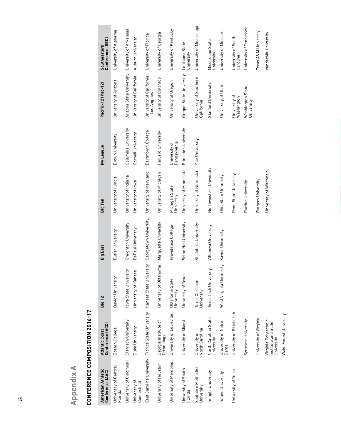Appendix A **Appendix A** 

# CONFERENCE COMPOSITION 2016-17 **CONFERENCE COMPOSITION 2016-17**

| American Athletic<br>Conference (AAC) | Conference (ACC)<br>Atlantic Coast                                  | Big 12                        | Big East              | Big Ten                      | <b>Ivy League</b>             | Pacific-12 (Pac-12)                             | Conference (SEC)<br>Southeastern |
|---------------------------------------|---------------------------------------------------------------------|-------------------------------|-----------------------|------------------------------|-------------------------------|-------------------------------------------------|----------------------------------|
| University of Central<br>Florida      | Boston College                                                      | Baylor University             | Butler University     | University of Illinois       | Brown University              | University of Arizona                           | University of Alabama            |
| University of Cincinnati              | Clemson University                                                  | sity<br>Iowa State Univer     | Creighton University  | University of Indiana        | Columbia University           | Arizona State University University of Arkansas |                                  |
| University of<br>Connecticut          | Duke University                                                     | Ge.<br>University of Kans     | DePaul University     | University of lowa           | Cornell University            | University of California                        | Auburn University                |
|                                       | East Carolina University Florida State University Kansas State Univ | ersity                        | Georgetown University | University of Maryland       | Dartmouth College             | University of California<br>- Los Angeles       | University of Florida            |
| University of Houston                 | Georgia Institute of<br><b>Technology</b>                           | University of Oklahoma        | Marquette University  | University of Michigan       | Harvard University            | University of Colorado                          | University of Georgia            |
| University of Memphis                 | University of Louisville                                            | Oklahoma State<br>University  | Providence College    | Michigan State<br>University | Pennsylvania<br>University of | University of Oregon                            | University of Kentucky           |
| University of South<br>Florida        | University of Miami                                                 | University of Texas           | Seton Hall University | University of Minnesota      | Princeton University          | Oregon State University                         | Louisiana State<br>University    |
| Southern Methodist<br>University      | North Carolina<br>University of                                     | Texas Christian<br>University | St. John's University | University of Nebraska       | Yale University               | University of Southern<br>California            | University of Mississippi        |
| Temple University                     | North Carolina State<br>University                                  | Texas Tech University         | Villanova University  | Northwestern University      |                               | Stanford University                             | Mississippi State<br>University  |
| Tulane University                     | University of Notre<br>Dame                                         | West Virginia University      | Xavier University     | Ohio State University        |                               | University of Utah                              | University of Missouri           |
| University of Tulsa                   | University of Pittsburgh                                            |                               |                       | Penn State University        |                               | University of<br>Washington                     | University of South<br>Carolina  |
|                                       | Syracuse University                                                 |                               |                       | Purdue University            |                               | Washington State<br>University                  | University of Tennessee          |
|                                       | University of Virginia                                              |                               |                       | Rutgers University           |                               |                                                 | Texas A&M University             |
|                                       | Virginia Polytechnic<br>Institute and State<br>University           |                               |                       | University of Wisconsin      |                               |                                                 | Vanderbilt University            |
|                                       | Wake Forest University                                              |                               |                       |                              |                               |                                                 |                                  |